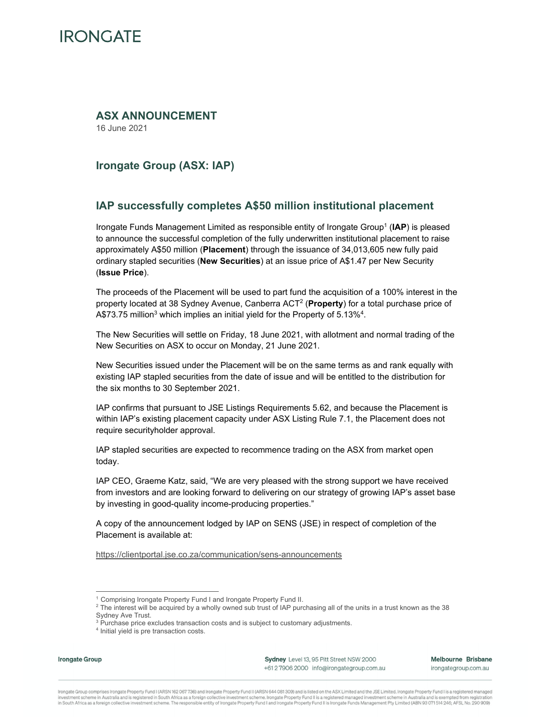# **IRONGATE**

### **ASX ANNOUNCEMENT**

16 June 2021

# **Irongate Group (ASX: IAP)**

#### **IAP successfully completes A\$50 million institutional placement**

Irongate Funds Management Limited as responsible entity of Irongate Group<sup>1</sup> (IAP) is pleased to announce the successful completion of the fully underwritten institutional placement to raise approximately A\$50 million (**Placement**) through the issuance of 34,013,605 new fully paid ordinary stapled securities (**New Securities**) at an issue price of A\$1.47 per New Security (**Issue Price**).

The proceeds of the Placement will be used to part fund the acquisition of a 100% interest in the property located at 38 Sydney Avenue, Canberra ACT2 (**Property**) for a total purchase price of A\$73.75 million<sup>3</sup> which implies an initial yield for the Property of  $5.13\%$ <sup>4</sup>.

The New Securities will settle on Friday, 18 June 2021, with allotment and normal trading of the New Securities on ASX to occur on Monday, 21 June 2021.

New Securities issued under the Placement will be on the same terms as and rank equally with existing IAP stapled securities from the date of issue and will be entitled to the distribution for the six months to 30 September 2021.

IAP confirms that pursuant to JSE Listings Requirements 5.62, and because the Placement is within IAP's existing placement capacity under ASX Listing Rule 7.1, the Placement does not require securityholder approval.

IAP stapled securities are expected to recommence trading on the ASX from market open today.

IAP CEO, Graeme Katz, said, "We are very pleased with the strong support we have received from investors and are looking forward to delivering on our strategy of growing IAP's asset base by investing in good-quality income-producing properties."

A copy of the announcement lodged by IAP on SENS (JSE) in respect of completion of the Placement is available at:

https://clientportal.jse.co.za/communication/sens-announcements

**Irongate Group** 

Sydney Level 13, 95 Pitt Street NSW 2000 +61 2 7906 2000 info@irongategroup.com.au Melbourne Brisbane irongategroup.com.au

Irongate Group comprises Irongate Property Fund I (ARSN 162 067736) and Irongate Property Fund II (ARSN 644 081 309) and is listed on the ASX Limited and the JSE Limited. Irongate Property Fund I is a registered managed investment scheme in Australia and is registered in South Africa as a foreign collective investment scheme. Irongate Property Fund II is a registered managed investment scheme in Australia and is exempted from registration

<sup>&</sup>lt;sup>1</sup> Comprising Irongate Property Fund I and Irongate Property Fund II.

 $^2$  The interest will be acquired by a wholly owned sub trust of IAP purchasing all of the units in a trust known as the 38  $\,$ Sydney Ave Trust.

<sup>&</sup>lt;sup>3</sup> Purchase price excludes transaction costs and is subject to customary adjustments.

<sup>4</sup> Initial yield is pre transaction costs.